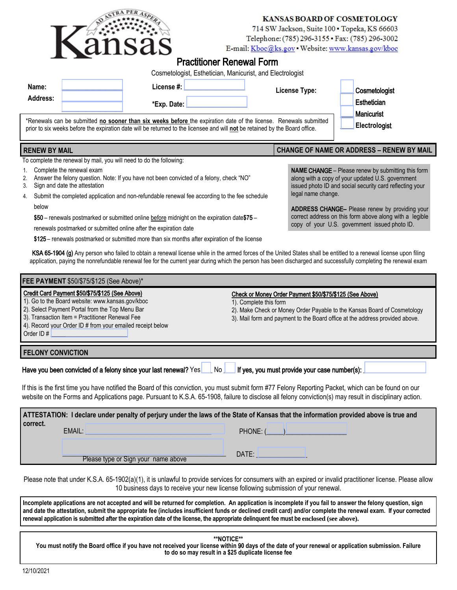| ansas<br><b>Practitioner Renewal Form</b><br>Cosmetologist, Esthetician, Manicurist, and Electrologist                                                                                                                                                                                              | <b>KANSAS BOARD OF COSMETOLOGY</b><br>714 SW Jackson, Suite 100 · Topeka, KS 66603<br>Telephone: (785) 296-3155 · Fax: (785) 296-3002<br>E-mail: Kboc@ks.gov · Website: www.kansas.gov/kboc |
|-----------------------------------------------------------------------------------------------------------------------------------------------------------------------------------------------------------------------------------------------------------------------------------------------------|---------------------------------------------------------------------------------------------------------------------------------------------------------------------------------------------|
| License #:<br>Name:<br>Address:<br>*Exp. Date:<br>*Renewals can be submitted no sooner than six weeks before the expiration date of the license. Renewals submitted<br>prior to six weeks before the expiration date will be returned to the licensee and will not be retained by the Board office. | License Type:<br>Cosmetologist<br><b>Esthetician</b><br><b>Manicurist</b><br>Electrologist                                                                                                  |
| <b>RENEW BY MAIL</b>                                                                                                                                                                                                                                                                                | <b>CHANGE OF NAME OR ADDRESS - RENEW BY MAIL</b>                                                                                                                                            |
| To complete the renewal by mail, you will need to do the following:<br>1. Complete the renewal exam<br>Answer the felony question. Note: If you have not been convicted of a felony, check "NO"<br>2.<br>3. Sign and date the attestation                                                           | <b>NAME CHANGE</b> – Please renew by submitting this form<br>along with a copy of your updated U.S. government<br>issued photo ID and social security card reflecting your                  |

4. Submit the completed application and non-refundable renewal fee according to the fee schedule below

**\$**50 – renewals postmarked or submitted online before midnight on the expiration date**\$7**5 –

renewals postmarked or submitted online after the expiration date

**\$1**25 – renewals postmarked or submitted more than six months after expiration of the license

this form along with a copy of your updated U.S. government ng your legal name change.

**ADDRESS** CHANGE– Please renew by providing your correct address on this form above along with a legible copy of your U.S. government issued photo ID.

KSA 65-1904 (g) Any person who failed to obtain a renewal license while in the armed forces of the United States shall be entitled to a renewal license upon filing application, paying the nonrefundable renewal fee for the current year during which the person has been discharged and successfully completing the renewal exam

|                                                                                                                                                                                                                                                                                                                                                                                                                                                     | FEE PAYMENT \$50/\$75/\$125 (See Above)*                                                                                                                                                                                                                                |                                                                                                                                                                                                                                                |  |  |
|-----------------------------------------------------------------------------------------------------------------------------------------------------------------------------------------------------------------------------------------------------------------------------------------------------------------------------------------------------------------------------------------------------------------------------------------------------|-------------------------------------------------------------------------------------------------------------------------------------------------------------------------------------------------------------------------------------------------------------------------|------------------------------------------------------------------------------------------------------------------------------------------------------------------------------------------------------------------------------------------------|--|--|
| Order $ID#$                                                                                                                                                                                                                                                                                                                                                                                                                                         | Credit Card Payment \$50/\$75/\$125 (See Above)<br>1). Go to the Board website: www.kansas.gov/kboc<br>2). Select Payment Portal from the Top Menu Bar<br>3). Transaction Item = Practitioner Renewal Fee<br>4). Record your Order ID # from your emailed receipt below | Check or Money Order Payment \$50/\$75/\$125 (See Above)<br>1). Complete this form<br>2). Make Check or Money Order Payable to the Kansas Board of Cosmetology<br>3). Mail form and payment to the Board office at the address provided above. |  |  |
| <b>FELONY CONVICTION</b>                                                                                                                                                                                                                                                                                                                                                                                                                            |                                                                                                                                                                                                                                                                         |                                                                                                                                                                                                                                                |  |  |
| Have you been convicted of a felony since your last renewal? Yes $\Box$ No $\Box$ If yes, you must provide your case number(s):<br>If this is the first time you have notified the Board of this conviction, you must submit form #77 Felony Reporting Packet, which can be found on our<br>website on the Forms and Applications page. Pursuant to K.S.A. 65-1908, failure to disclose all felony conviction(s) may result in disciplinary action. |                                                                                                                                                                                                                                                                         |                                                                                                                                                                                                                                                |  |  |
| ATTESTATION: I declare under penalty of perjury under the laws of the State of Kansas that the information provided above is true and                                                                                                                                                                                                                                                                                                               |                                                                                                                                                                                                                                                                         |                                                                                                                                                                                                                                                |  |  |
| correct.                                                                                                                                                                                                                                                                                                                                                                                                                                            | EMAIL:                                                                                                                                                                                                                                                                  | PHONE: (                                                                                                                                                                                                                                       |  |  |
|                                                                                                                                                                                                                                                                                                                                                                                                                                                     | Please type or Sign your name above                                                                                                                                                                                                                                     | DATE:                                                                                                                                                                                                                                          |  |  |
| Please note that under K.S.A. 65-1902(a)(1), it is unlawful to provide services for consumers with an expired or invalid practitioner license. Please allow<br>10 business days to receive your new license following submission of your renewal.                                                                                                                                                                                                   |                                                                                                                                                                                                                                                                         |                                                                                                                                                                                                                                                |  |  |

**Incomplete applications are not accepted and will be returned for completion. An application is incomplete if you fail to answer the felony question, sign and date the attestation, submit the appropriate fee (includes insufficient funds or declined credit card) and/or complete the renewal exam. If your corrected**  renewal application is submitted after the expiration date of the license, the appropriate delinquent fee must be enclosed (see above).

**\*\*NOTICE\*\* You must notify the Board office if you have not received your license within** 9**0 days of the date of your renewal or application submission. Failure to do so may result in a \$25 duplicate license fee**